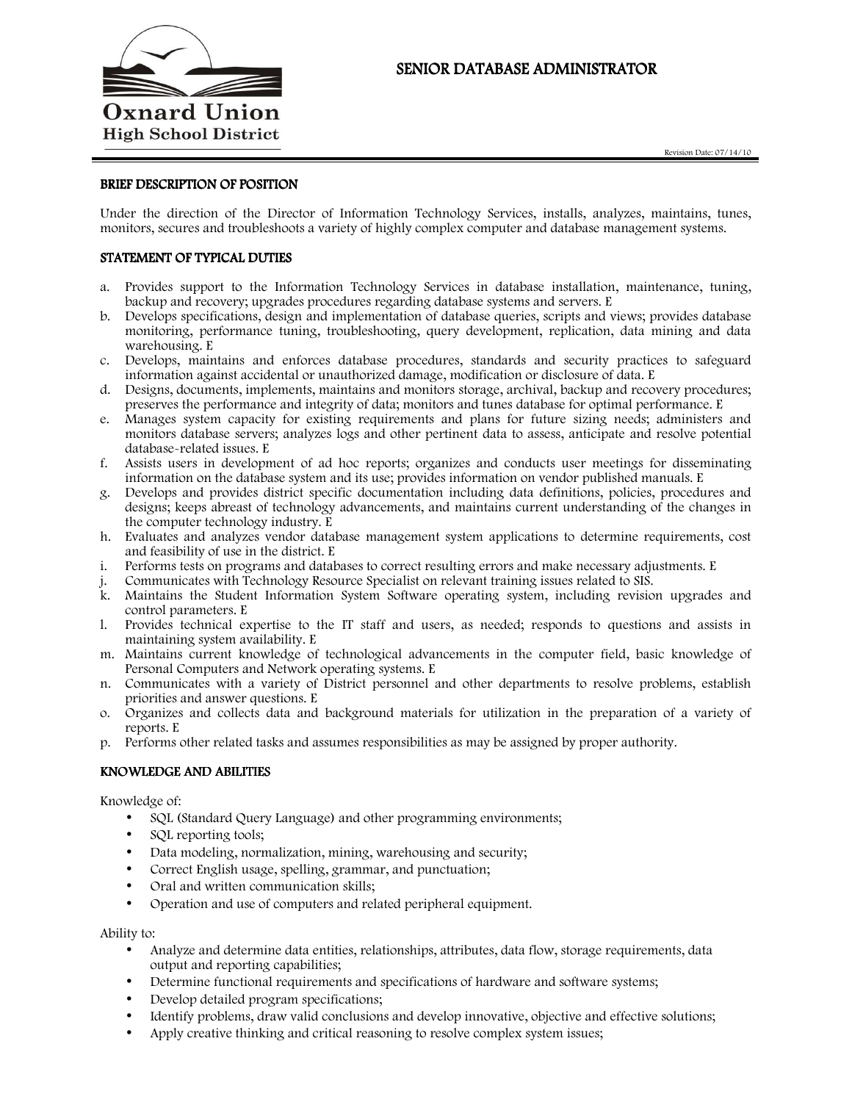

# SENIOR DATABASE ADMINISTRATOR

## BRIEF DESCRIPTION OF POSITION

Under the direction of the Director of Information Technology Services, installs, analyzes, maintains, tunes, monitors, secures and troubleshoots a variety of highly complex computer and database management systems.

## STATEMENT OF TYPICAL DUTIES

- a. Provides support to the Information Technology Services in database installation, maintenance, tuning, backup and recovery; upgrades procedures regarding database systems and servers. E
- b. Develops specifications, design and implementation of database queries, scripts and views; provides database monitoring, performance tuning, troubleshooting, query development, replication, data mining and data warehousing. E
- c. Develops, maintains and enforces database procedures, standards and security practices to safeguard information against accidental or unauthorized damage, modification or disclosure of data. E
- d. Designs, documents, implements, maintains and monitors storage, archival, backup and recovery procedures; preserves the performance and integrity of data; monitors and tunes database for optimal performance. E
- e. Manages system capacity for existing requirements and plans for future sizing needs; administers and monitors database servers; analyzes logs and other pertinent data to assess, anticipate and resolve potential database-related issues. E
- f. Assists users in development of ad hoc reports; organizes and conducts user meetings for disseminating information on the database system and its use; provides information on vendor published manuals. E
- g. Develops and provides district specific documentation including data definitions, policies, procedures and designs; keeps abreast of technology advancements, and maintains current understanding of the changes in the computer technology industry. E
- h. Evaluates and analyzes vendor database management system applications to determine requirements, cost and feasibility of use in the district. E
- i. Performs tests on programs and databases to correct resulting errors and make necessary adjustments. E
- j. Communicates with Technology Resource Specialist on relevant training issues related to SIS.
- k. Maintains the Student Information System Software operating system, including revision upgrades and control parameters. E
- l. Provides technical expertise to the IT staff and users, as needed; responds to questions and assists in maintaining system availability. E
- m. Maintains current knowledge of technological advancements in the computer field, basic knowledge of Personal Computers and Network operating systems. E
- n. Communicates with a variety of District personnel and other departments to resolve problems, establish priorities and answer questions. E
- o. Organizes and collects data and background materials for utilization in the preparation of a variety of reports. E
- p. Performs other related tasks and assumes responsibilities as may be assigned by proper authority.

### KNOWLEDGE AND ABILITIES

Knowledge of:

- SQL (Standard Query Language) and other programming environments;
- SQL reporting tools;
- Data modeling, normalization, mining, warehousing and security;
- Correct English usage, spelling, grammar, and punctuation;
- Oral and written communication skills;
- Operation and use of computers and related peripheral equipment.

Ability to:

- Analyze and determine data entities, relationships, attributes, data flow, storage requirements, data output and reporting capabilities;
- Determine functional requirements and specifications of hardware and software systems;
- Develop detailed program specifications;
- Identify problems, draw valid conclusions and develop innovative, objective and effective solutions;
- Apply creative thinking and critical reasoning to resolve complex system issues;